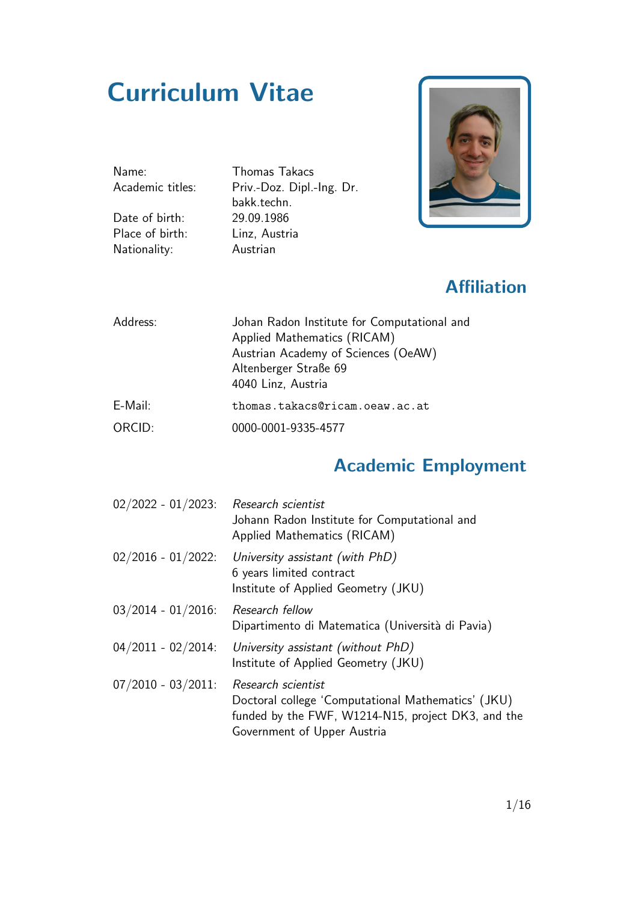# Curriculum Vitae

Date of birth: 29.09.1986 Place of birth: Linz, Austria Nationality: Austrian

Name: Thomas Takacs<br>Academic titles: Priv.-Doz. Dipl.-Priv.-Doz. Dipl.-Ing. Dr. bakk.techn.



#### Affiliation

| Address: | Johan Radon Institute for Computational and<br>Applied Mathematics (RICAM)<br>Austrian Academy of Sciences (OeAW)<br>Altenberger Straße 69<br>4040 Linz, Austria |
|----------|------------------------------------------------------------------------------------------------------------------------------------------------------------------|
| E-Mail:  | thomas.takacs@ricam.oeaw.ac.at                                                                                                                                   |
| ORCID:   | 0000-0001-9335-4577                                                                                                                                              |

### Academic Employment

| $02/2022 - 01/2023$ : | Research scientist<br>Johann Radon Institute for Computational and<br>Applied Mathematics (RICAM)                                                             |
|-----------------------|---------------------------------------------------------------------------------------------------------------------------------------------------------------|
| $02/2016 - 01/2022$ : | University assistant (with PhD)<br>6 years limited contract<br>Institute of Applied Geometry (JKU)                                                            |
| $03/2014 - 01/2016$ : | Research fellow<br>Dipartimento di Matematica (Università di Pavia)                                                                                           |
| $04/2011 - 02/2014$ : | University assistant (without PhD)<br>Institute of Applied Geometry (JKU)                                                                                     |
| $07/2010 - 03/2011$ : | Research scientist<br>Doctoral college 'Computational Mathematics' (JKU)<br>funded by the FWF, W1214-N15, project DK3, and the<br>Government of Upper Austria |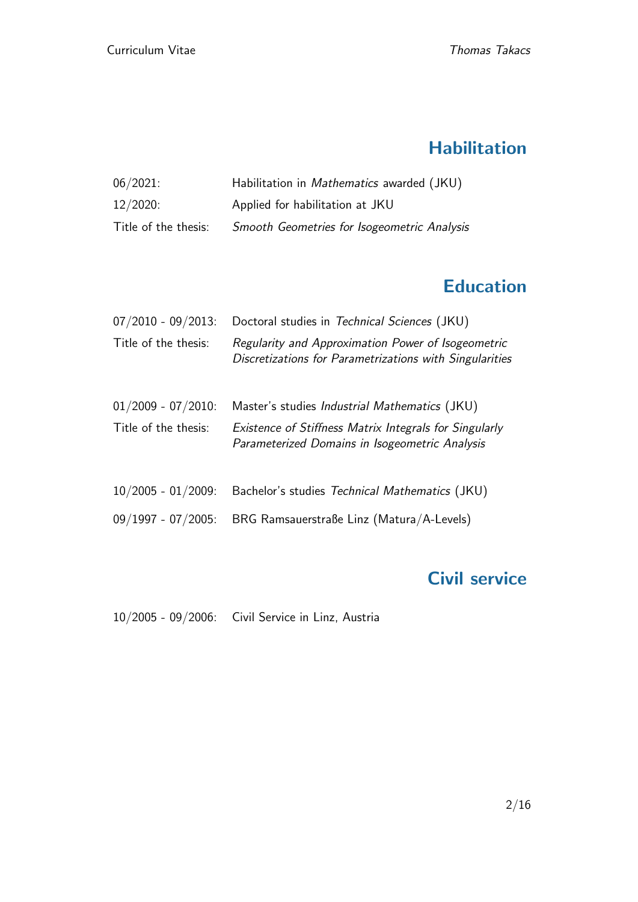## Habilitation

| $06/2021$ :          | Habilitation in <i>Mathematics</i> awarded (JKU) |
|----------------------|--------------------------------------------------|
| $12/2020$ :          | Applied for habilitation at JKU                  |
| Title of the thesis: | Smooth Geometries for Isogeometric Analysis      |

## Education

| $07/2010 - 09/2013$ : | Doctoral studies in Technical Sciences (JKU)                                                                  |
|-----------------------|---------------------------------------------------------------------------------------------------------------|
| Title of the thesis:  | Regularity and Approximation Power of Isogeometric<br>Discretizations for Parametrizations with Singularities |
| $01/2009 - 07/2010$ : | Master's studies <i>Industrial Mathematics</i> (JKU)                                                          |
| Title of the thesis:  | Existence of Stiffness Matrix Integrals for Singularly<br>Parameterized Domains in Isogeometric Analysis      |
| $10/2005 - 01/2009$ : | Bachelor's studies Technical Mathematics (JKU)                                                                |
| $09/1997 - 07/2005$ : | BRG Ramsauerstraße Linz (Matura/A-Levels)                                                                     |

# Civil service

10/2005 - 09/2006: Civil Service in Linz, Austria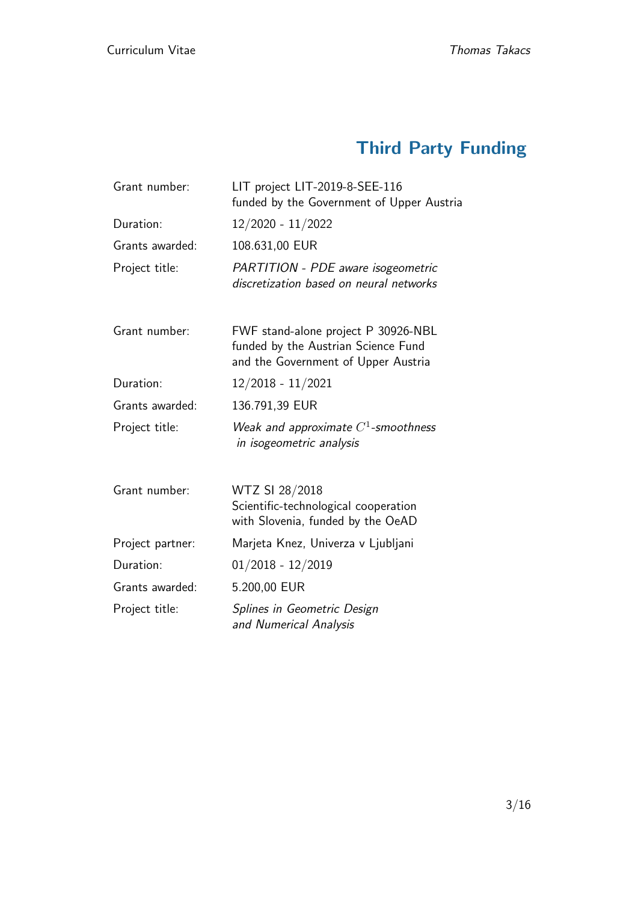# Third Party Funding

| Grant number:    | LIT project LIT-2019-8-SEE-116<br>funded by the Government of Upper Austria                                       |
|------------------|-------------------------------------------------------------------------------------------------------------------|
| Duration:        | 12/2020 - 11/2022                                                                                                 |
| Grants awarded:  | 108.631,00 EUR                                                                                                    |
| Project title:   | PARTITION - PDE aware isogeometric<br>discretization based on neural networks                                     |
| Grant number:    | FWF stand-alone project P 30926-NBL<br>funded by the Austrian Science Fund<br>and the Government of Upper Austria |
| Duration:        | $12/2018 - 11/2021$                                                                                               |
| Grants awarded:  | 136.791,39 EUR                                                                                                    |
| Project title:   | Weak and approximate $C^1$ -smoothness<br>in isogeometric analysis                                                |
| Grant number:    | WTZ SI 28/2018<br>Scientific-technological cooperation<br>with Slovenia, funded by the OeAD                       |
| Project partner: | Marjeta Knez, Univerza v Ljubljani                                                                                |
| Duration:        | $01/2018 - 12/2019$                                                                                               |
| Grants awarded:  | 5.200,00 EUR                                                                                                      |
| Project title:   | Splines in Geometric Design<br>and Numerical Analysis                                                             |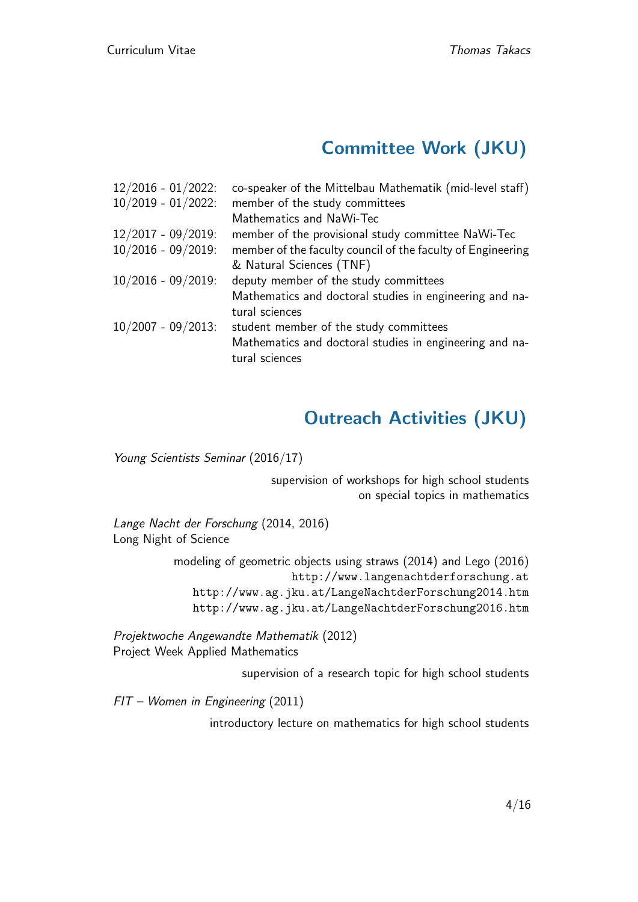# Committee Work (JKU)

| $12/2016 - 01/2022$ : | co-speaker of the Mittelbau Mathematik (mid-level staff)    |
|-----------------------|-------------------------------------------------------------|
| $10/2019 - 01/2022$ : | member of the study committees                              |
|                       | Mathematics and NaWi-Tec                                    |
| $12/2017 - 09/2019$ : | member of the provisional study committee NaWi-Tec          |
| $10/2016 - 09/2019$ : | member of the faculty council of the faculty of Engineering |
|                       | & Natural Sciences (TNF)                                    |
| $10/2016 - 09/2019$ : | deputy member of the study committees                       |
|                       | Mathematics and doctoral studies in engineering and na-     |
|                       | tural sciences                                              |
| $10/2007 - 09/2013$ : | student member of the study committees                      |
|                       | Mathematics and doctoral studies in engineering and na-     |
|                       | tural sciences                                              |

# Outreach Activities (JKU)

Young Scientists Seminar (2016/17)

supervision of workshops for high school students on special topics in mathematics

Lange Nacht der Forschung (2014, 2016) Long Night of Science

> modeling of geometric objects using straws (2014) and Lego (2016) http://www.langenachtderforschung.at http://www.ag.jku.at/LangeNachtderForschung2014.htm http://www.ag.jku.at/LangeNachtderForschung2016.htm

Projektwoche Angewandte Mathematik (2012) Project Week Applied Mathematics

supervision of a research topic for high school students

FIT – Women in Engineering (2011)

introductory lecture on mathematics for high school students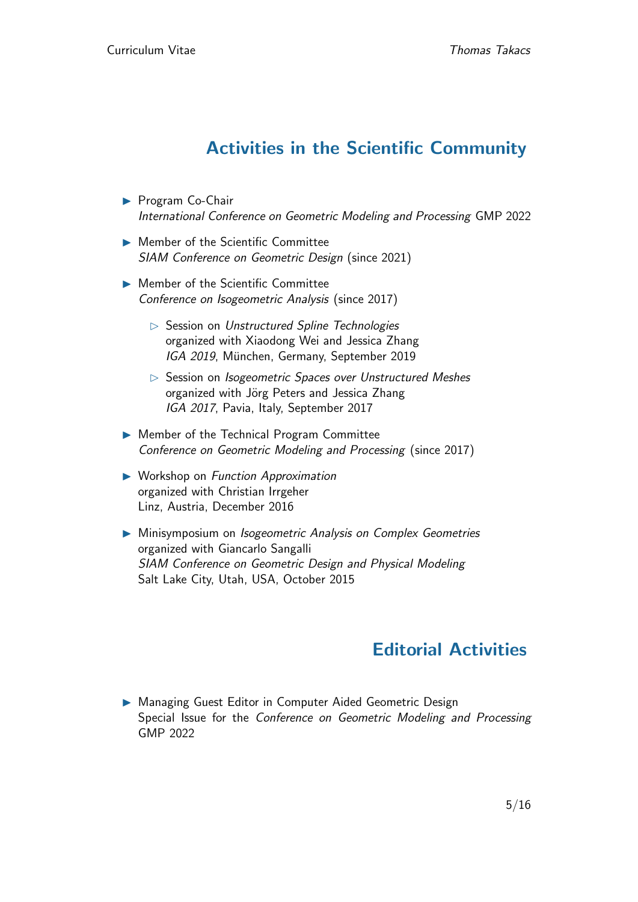#### Activities in the Scientific Community

- ▶ Program Co-Chair International Conference on Geometric Modeling and Processing GMP 2022
- $\blacktriangleright$  Member of the Scientific Committee SIAM Conference on Geometric Design (since 2021)
- $\blacktriangleright$  Member of the Scientific Committee Conference on Isogeometric Analysis (since 2017)
	- $\triangleright$  Session on Unstructured Spline Technologies organized with Xiaodong Wei and Jessica Zhang IGA 2019, München, Germany, September 2019
	- $\triangleright$  Session on *Isogeometric Spaces over Unstructured Meshes* organized with Jörg Peters and Jessica Zhang IGA 2017, Pavia, Italy, September 2017
- $\blacktriangleright$  Member of the Technical Program Committee Conference on Geometric Modeling and Processing (since 2017)
- $\blacktriangleright$  Workshop on Function Approximation organized with Christian Irrgeher Linz, Austria, December 2016
- **INITY Minisymposium on** *Isogeometric Analysis on Complex Geometries* organized with Giancarlo Sangalli SIAM Conference on Geometric Design and Physical Modeling Salt Lake City, Utah, USA, October 2015

## Editorial Activities

▶ Managing Guest Editor in Computer Aided Geometric Design Special Issue for the Conference on Geometric Modeling and Processing GMP 2022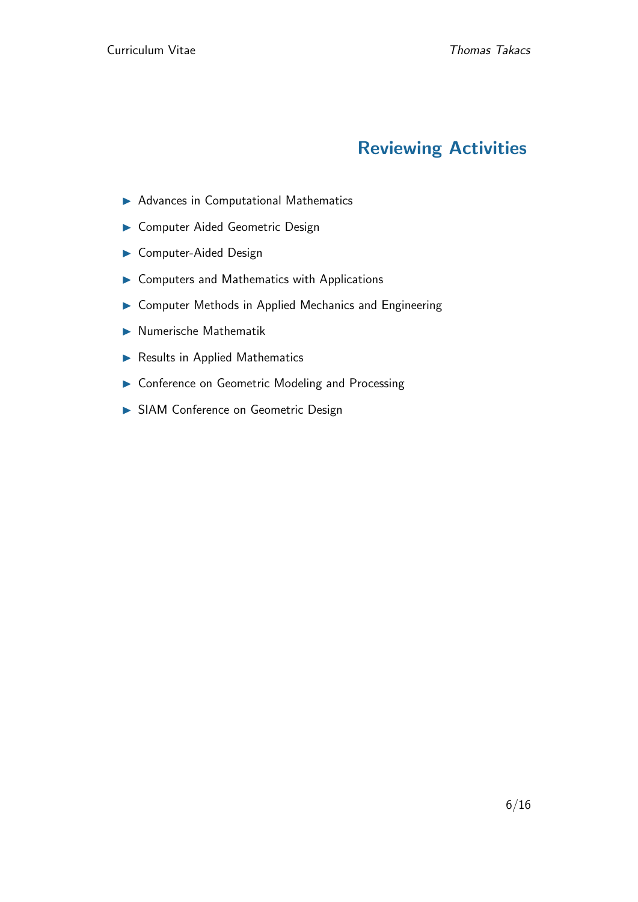## Reviewing Activities

- $\blacktriangleright$  Advances in Computational Mathematics
- **In Computer Aided Geometric Design**
- ▶ Computer-Aided Design
- $\blacktriangleright$  Computers and Mathematics with Applications
- **In Computer Methods in Applied Mechanics and Engineering**
- $\blacktriangleright$  Numerische Mathematik
- $\blacktriangleright$  Results in Applied Mathematics
- **In Conference on Geometric Modeling and Processing**
- **INCO** SIAM Conference on Geometric Design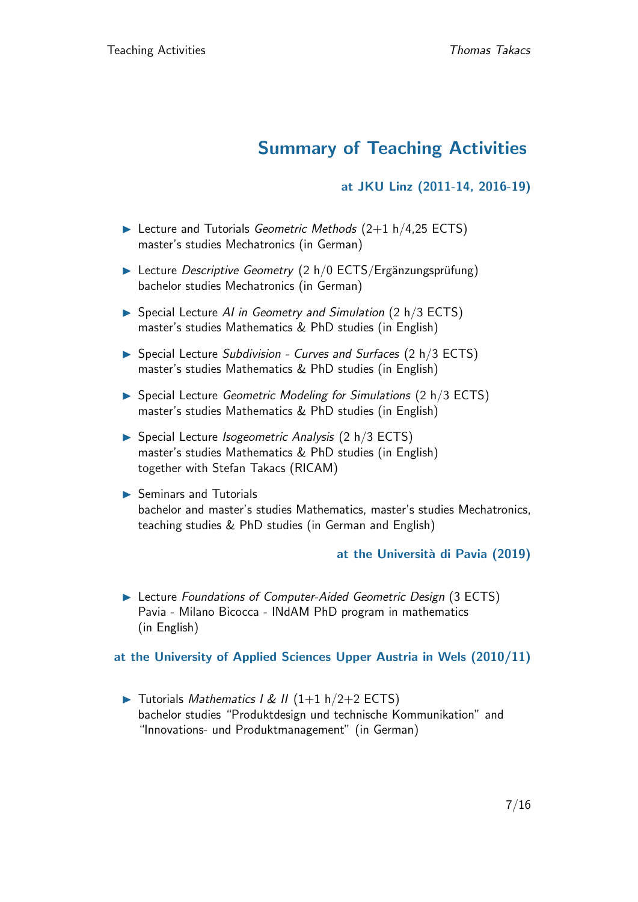# Summary of Teaching Activities

#### at JKU Linz (2011-14, 2016-19)

- Electure and Tutorials Geometric Methods  $(2+1 h/4, 25 ECTS)$ master's studies Mechatronics (in German)
- $\triangleright$  Lecture *Descriptive Geometry* (2 h/0 ECTS/Ergänzungsprüfung) bachelor studies Mechatronics (in German)
- $\triangleright$  Special Lecture AI in Geometry and Simulation (2 h/3 ECTS) master's studies Mathematics & PhD studies (in English)
- $\triangleright$  Special Lecture Subdivision Curves and Surfaces (2 h/3 ECTS) master's studies Mathematics & PhD studies (in English)
- $\triangleright$  Special Lecture *Geometric Modeling for Simulations* (2 h/3 ECTS) master's studies Mathematics & PhD studies (in English)
- $\triangleright$  Special Lecture *Isogeometric Analysis* (2 h/3 ECTS) master's studies Mathematics & PhD studies (in English) together with Stefan Takacs (RICAM)

#### $\blacktriangleright$  Seminars and Tutorials bachelor and master's studies Mathematics, master's studies Mechatronics, teaching studies & PhD studies (in German and English)

#### at the Università di Pavia (2019)

▶ Lecture Foundations of Computer-Aided Geometric Design (3 ECTS) Pavia - Milano Bicocca - INdAM PhD program in mathematics (in English)

#### at the University of Applied Sciences Upper Austria in Wels (2010/11)

 $\blacktriangleright$  Tutorials *Mathematics I & II* (1+1 h/2+2 ECTS) bachelor studies "Produktdesign und technische Kommunikation" and "Innovations- und Produktmanagement" (in German)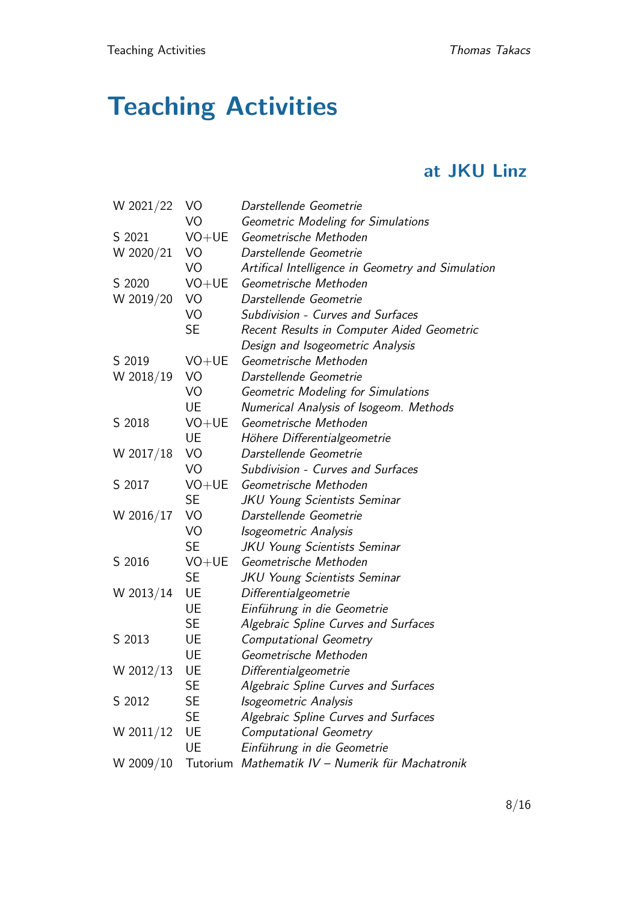# Teaching Activities

#### at JKU Linz

| W 2021/22   | VO             | Darstellende Geometrie                            |
|-------------|----------------|---------------------------------------------------|
|             | VO             | Geometric Modeling for Simulations                |
| S 2021      | $VO+UE$        | Geometrische Methoden                             |
| W 2020/21   | VO             | Darstellende Geometrie                            |
|             | VO             | Artifical Intelligence in Geometry and Simulation |
| S 2020      | $VO+UE$        | Geometrische Methoden                             |
| W 2019/20   | V <sub>O</sub> | Darstellende Geometrie                            |
|             | VO             | Subdivision - Curves and Surfaces                 |
|             | <b>SE</b>      | Recent Results in Computer Aided Geometric        |
|             |                | Design and Isogeometric Analysis                  |
| S 2019      | $VO+UE$        | Geometrische Methoden                             |
| W 2018/19   | VO             | Darstellende Geometrie                            |
|             | VO             | Geometric Modeling for Simulations                |
|             | UE             | Numerical Analysis of Isogeom. Methods            |
| S 2018      | $VO+UE$        | Geometrische Methoden                             |
|             | UE             | Höhere Differentialgeometrie                      |
| W 2017/18   | VO             | Darstellende Geometrie                            |
|             | VO             | Subdivision - Curves and Surfaces                 |
| S 2017      | $VO+UE$        | Geometrische Methoden                             |
|             | <b>SE</b>      | <b>JKU Young Scientists Seminar</b>               |
| W 2016/17   | VO             | Darstellende Geometrie                            |
|             | VO             | Isogeometric Analysis                             |
|             | <b>SE</b>      | <b>JKU Young Scientists Seminar</b>               |
| S 2016      | $VO+UE$        | Geometrische Methoden                             |
|             | <b>SE</b>      | <b>JKU Young Scientists Seminar</b>               |
| W 2013/14   | UE             | Differentialgeometrie                             |
|             | UE             | Einführung in die Geometrie                       |
|             | <b>SE</b>      | Algebraic Spline Curves and Surfaces              |
| S 2013      | UE             | Computational Geometry                            |
|             | UE             | Geometrische Methoden                             |
| W 2012/13   | UE             | Differentialgeometrie                             |
|             | <b>SE</b>      | Algebraic Spline Curves and Surfaces              |
| S 2012      | <b>SE</b>      | Isogeometric Analysis                             |
|             | <b>SE</b>      | Algebraic Spline Curves and Surfaces              |
| W $2011/12$ | UE             | Computational Geometry                            |
|             | UE             | Einführung in die Geometrie                       |
| W 2009/10   |                | Tutorium Mathematik IV - Numerik für Machatronik  |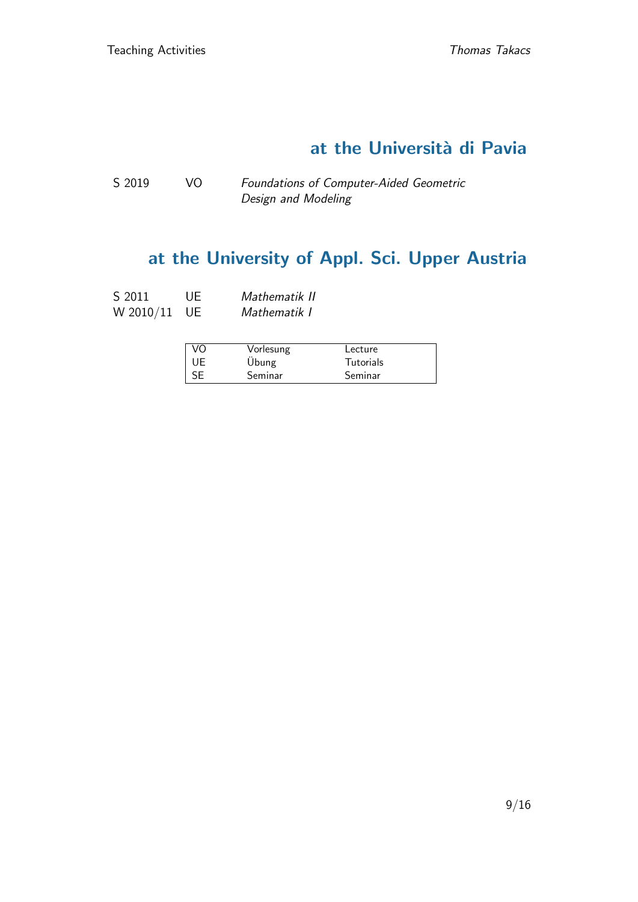#### at the Università di Pavia

S 2019 VO Foundations of Computer-Aided Geometric Design and Modeling

# at the University of Appl. Sci. Upper Austria

| S 2011       | UE | Mathematik II |
|--------------|----|---------------|
| W 2010/11 UE |    | Mathematik I  |

| VO. | Vorlesung | Lecture          |  |
|-----|-----------|------------------|--|
| UE  | <br>Ubung | <b>Tutorials</b> |  |
|     | Seminar   | Seminar          |  |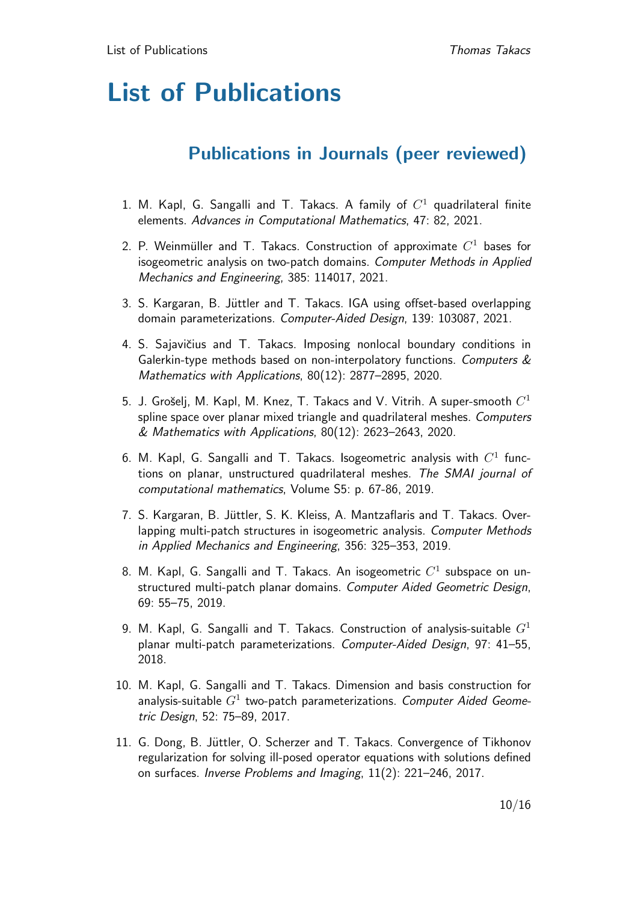# List of Publications

#### Publications in Journals (peer reviewed)

- 1. M. Kapl, G. Sangalli and T. Takacs. A family of  $C^1$  quadrilateral finite elements. Advances in Computational Mathematics, 47: 82, 2021.
- 2. P. Weinmüller and T. Takacs. Construction of approximate  $C^1$  bases for isogeometric analysis on two-patch domains. Computer Methods in Applied Mechanics and Engineering, 385: 114017, 2021.
- 3. S. Kargaran, B. Jüttler and T. Takacs. IGA using offset-based overlapping domain parameterizations. Computer-Aided Design, 139: 103087, 2021.
- 4. S. Sajavičius and T. Takacs. Imposing nonlocal boundary conditions in Galerkin-type methods based on non-interpolatory functions. Computers & Mathematics with Applications, 80(12): 2877–2895, 2020.
- 5. J. Grošelj, M. Kapl, M. Knez, T. Takacs and V. Vitrih. A super-smooth  $C^1$ spline space over planar mixed triangle and quadrilateral meshes. Computers & Mathematics with Applications, 80(12): 2623–2643, 2020.
- 6. M. Kapl, G. Sangalli and T. Takacs. Isogeometric analysis with  $C^1$  functions on planar, unstructured quadrilateral meshes. The SMAI journal of computational mathematics, Volume S5: p. 67-86, 2019.
- 7. S. Kargaran, B. Jüttler, S. K. Kleiss, A. Mantzaflaris and T. Takacs. Overlapping multi-patch structures in isogeometric analysis. Computer Methods in Applied Mechanics and Engineering, 356: 325–353, 2019.
- 8. M. Kapl, G. Sangalli and T. Takacs. An isogeometric  $C^1$  subspace on unstructured multi-patch planar domains. Computer Aided Geometric Design, 69: 55–75, 2019.
- 9. M. Kapl, G. Sangalli and T. Takacs. Construction of analysis-suitable  $G<sup>1</sup>$ planar multi-patch parameterizations. Computer-Aided Design, 97: 41–55, 2018.
- 10. M. Kapl, G. Sangalli and T. Takacs. Dimension and basis construction for analysis-suitable  $G^1$  two-patch parameterizations. Computer Aided Geometric Design, 52: 75–89, 2017.
- 11. G. Dong, B. Jüttler, O. Scherzer and T. Takacs. Convergence of Tikhonov regularization for solving ill-posed operator equations with solutions defined on surfaces. Inverse Problems and Imaging, 11(2): 221–246, 2017.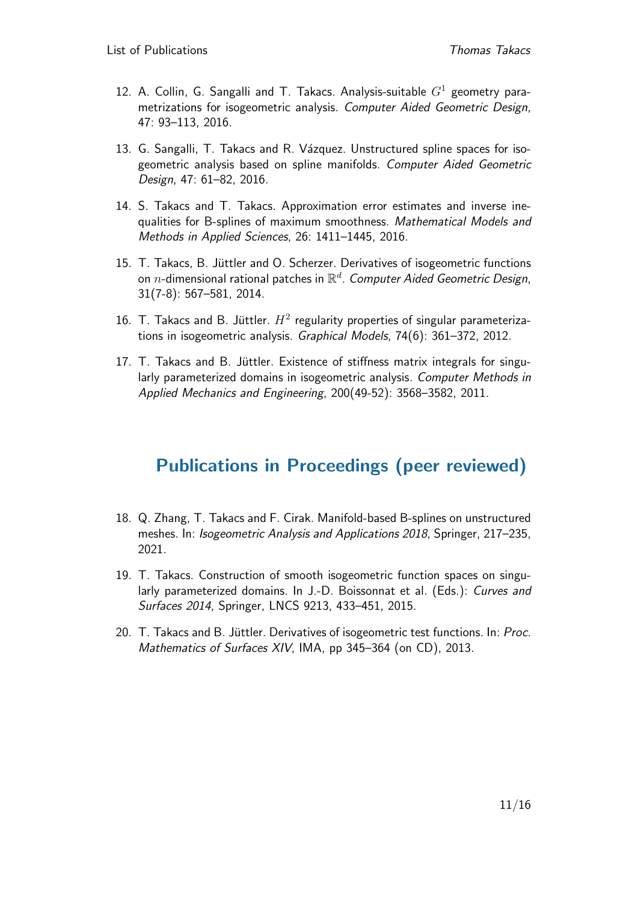- 12. A. Collin, G. Sangalli and T. Takacs. Analysis-suitable  $G<sup>1</sup>$  geometry parametrizations for isogeometric analysis. Computer Aided Geometric Design, 47: 93–113, 2016.
- 13. G. Sangalli, T. Takacs and R. Vázquez. Unstructured spline spaces for isogeometric analysis based on spline manifolds. Computer Aided Geometric Design, 47: 61–82, 2016.
- 14. S. Takacs and T. Takacs. Approximation error estimates and inverse inequalities for B-splines of maximum smoothness. Mathematical Models and Methods in Applied Sciences, 26: 1411–1445, 2016.
- 15. T. Takacs, B. Jüttler and O. Scherzer. Derivatives of isogeometric functions on  $n$ -dimensional rational patches in  $\mathbb{R}^d$ . *Computer Aided Geometric Design*, 31(7-8): 567–581, 2014.
- 16. T. Takacs and B. Jüttler.  $H^2$  regularity properties of singular parameterizations in isogeometric analysis. Graphical Models, 74(6): 361–372, 2012.
- 17. T. Takacs and B. Jüttler. Existence of stiffness matrix integrals for singularly parameterized domains in isogeometric analysis. Computer Methods in Applied Mechanics and Engineering, 200(49-52): 3568–3582, 2011.

#### Publications in Proceedings (peer reviewed)

- 18. Q. Zhang, T. Takacs and F. Cirak. Manifold-based B-splines on unstructured meshes. In: Isogeometric Analysis and Applications 2018, Springer, 217–235, 2021.
- 19. T. Takacs. Construction of smooth isogeometric function spaces on singularly parameterized domains. In J.-D. Boissonnat et al. (Eds.): Curves and Surfaces 2014, Springer, LNCS 9213, 433–451, 2015.
- 20. T. Takacs and B. Jüttler. Derivatives of isogeometric test functions. In: Proc. Mathematics of Surfaces XIV, IMA, pp 345–364 (on CD), 2013.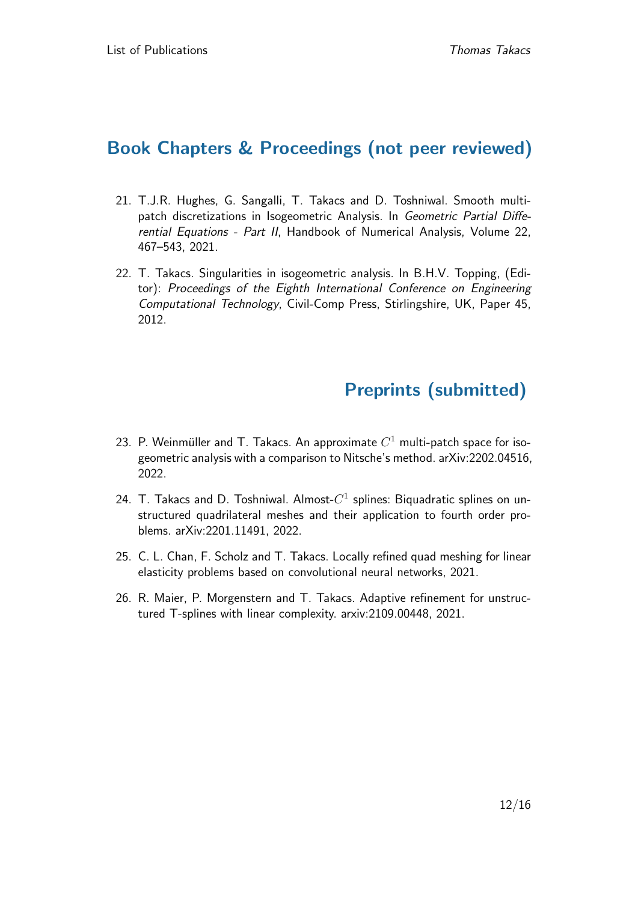#### Book Chapters & Proceedings (not peer reviewed)

- 21. T.J.R. Hughes, G. Sangalli, T. Takacs and D. Toshniwal. Smooth multipatch discretizations in Isogeometric Analysis. In Geometric Partial Differential Equations - Part II, Handbook of Numerical Analysis, Volume 22, 467–543, 2021.
- 22. T. Takacs. Singularities in isogeometric analysis. In B.H.V. Topping, (Editor): Proceedings of the Eighth International Conference on Engineering Computational Technology, Civil-Comp Press, Stirlingshire, UK, Paper 45, 2012.

# Preprints (submitted)

- 23. P. Weinmüller and T. Takacs. An approximate  $C^1$  multi-patch space for isogeometric analysis with a comparison to Nitsche's method. arXiv:2202.04516, 2022.
- 24. T. Takacs and D. Toshniwal. Almost- $C^1$  splines: Biquadratic splines on unstructured quadrilateral meshes and their application to fourth order problems. arXiv:2201.11491, 2022.
- 25. C. L. Chan, F. Scholz and T. Takacs. Locally refined quad meshing for linear elasticity problems based on convolutional neural networks, 2021.
- 26. R. Maier, P. Morgenstern and T. Takacs. Adaptive refinement for unstructured T-splines with linear complexity. arxiv:2109.00448, 2021.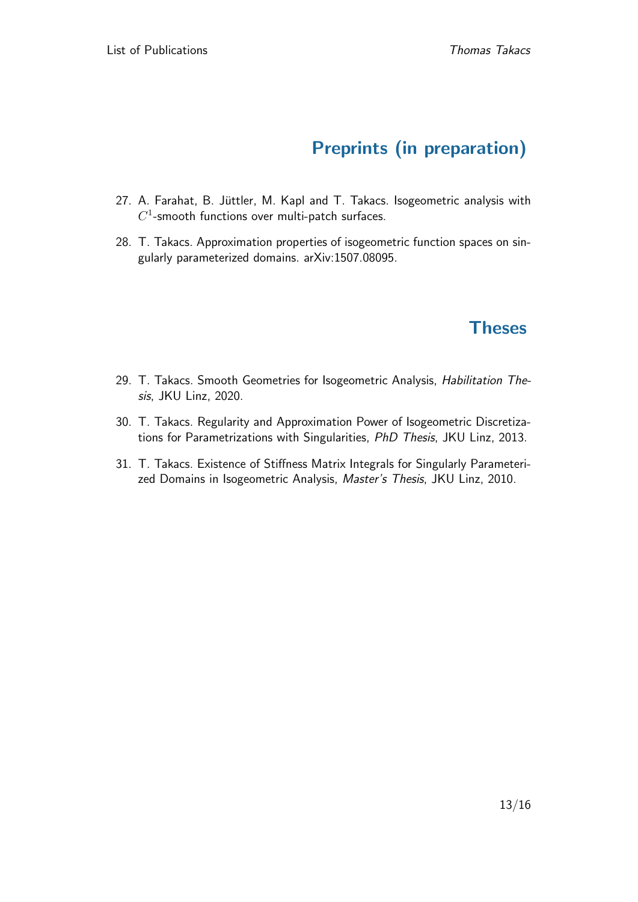# Preprints (in preparation)

- 27. A. Farahat, B. Jüttler, M. Kapl and T. Takacs. Isogeometric analysis with  $C^1$ -smooth functions over multi-patch surfaces.
- 28. T. Takacs. Approximation properties of isogeometric function spaces on singularly parameterized domains. arXiv:1507.08095.

#### **Theses**

- 29. T. Takacs. Smooth Geometries for Isogeometric Analysis, Habilitation Thesis, JKU Linz, 2020.
- 30. T. Takacs. Regularity and Approximation Power of Isogeometric Discretizations for Parametrizations with Singularities, PhD Thesis, JKU Linz, 2013.
- 31. T. Takacs. Existence of Stiffness Matrix Integrals for Singularly Parameterized Domains in Isogeometric Analysis, Master's Thesis, JKU Linz, 2010.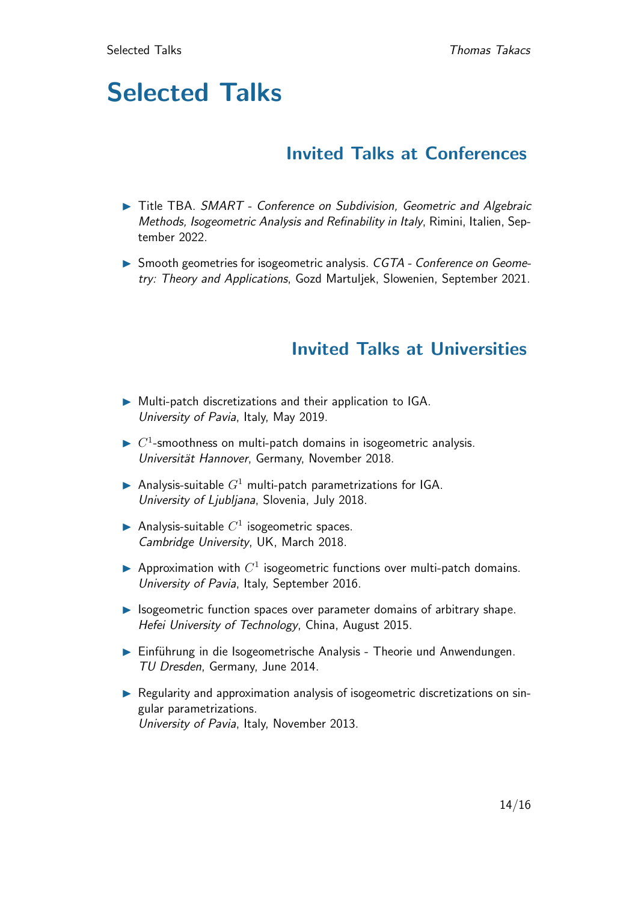# Selected Talks

#### Invited Talks at Conferences

- $\triangleright$  Title TBA. SMART Conference on Subdivision, Geometric and Algebraic Methods, Isogeometric Analysis and Refinability in Italy, Rimini, Italien, September 2022.
- **In Smooth geometries for isogeometric analysis. CGTA Conference on Geome**try: Theory and Applications, Gozd Martuljek, Slowenien, September 2021.

### Invited Talks at Universities

- $\blacktriangleright$  Multi-patch discretizations and their application to IGA. University of Pavia, Italy, May 2019.
- $\blacktriangleright$   $C^1$ -smoothness on multi-patch domains in isogeometric analysis. Universität Hannover, Germany, November 2018.
- Analysis-suitable  $G<sup>1</sup>$  multi-patch parametrizations for IGA. University of Ljubljana, Slovenia, July 2018.
- Analysis-suitable  $C^1$  isogeometric spaces. Cambridge University, UK, March 2018.
- Approximation with  $C^1$  isogeometric functions over multi-patch domains. University of Pavia, Italy, September 2016.
- $\blacktriangleright$  Isogeometric function spaces over parameter domains of arbitrary shape. Hefei University of Technology, China, August 2015.
- Einführung in die Isogeometrische Analysis Theorie und Anwendungen. TU Dresden, Germany, June 2014.
- $\triangleright$  Regularity and approximation analysis of isogeometric discretizations on singular parametrizations. University of Pavia, Italy, November 2013.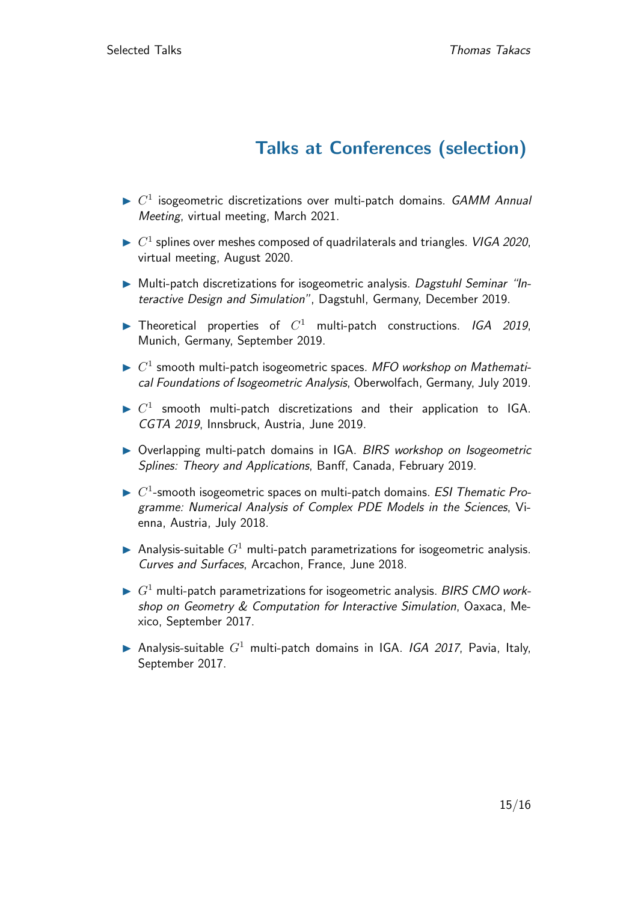# Talks at Conferences (selection)

- $\blacktriangleright$   $C^1$  isogeometric discretizations over multi-patch domains. GAMM Annual Meeting, virtual meeting, March 2021.
- $\blacktriangleright$   $C^1$  splines over meshes composed of quadrilaterals and triangles. VIGA 2020, virtual meeting, August 2020.
- I Multi-patch discretizations for isogeometric analysis. Dagstuhl Seminar "Interactive Design and Simulation", Dagstuhl, Germany, December 2019.
- Theoretical properties of  $C^1$  multi-patch constructions. IGA 2019, Munich, Germany, September 2019.
- $\blacktriangleright C^1$  smooth multi-patch isogeometric spaces. MFO workshop on Mathematical Foundations of Isogeometric Analysis, Oberwolfach, Germany, July 2019.
- $\blacktriangleright$   $C^1$  smooth multi-patch discretizations and their application to IGA. CGTA 2019, Innsbruck, Austria, June 2019.
- ▶ Overlapping multi-patch domains in IGA. BIRS workshop on Isogeometric Splines: Theory and Applications, Banff, Canada, February 2019.
- $\blacktriangleright$   $C^1$ -smooth isogeometric spaces on multi-patch domains. ESI Thematic Programme: Numerical Analysis of Complex PDE Models in the Sciences, Vienna, Austria, July 2018.
- Analysis-suitable  $G^1$  multi-patch parametrizations for isogeometric analysis. Curves and Surfaces, Arcachon, France, June 2018.
- $\blacktriangleright$   $G^1$  multi-patch parametrizations for isogeometric analysis. BIRS CMO workshop on Geometry & Computation for Interactive Simulation, Oaxaca, Mexico, September 2017.
- Analysis-suitable  $G^1$  multi-patch domains in IGA. IGA 2017, Pavia, Italy, September 2017.